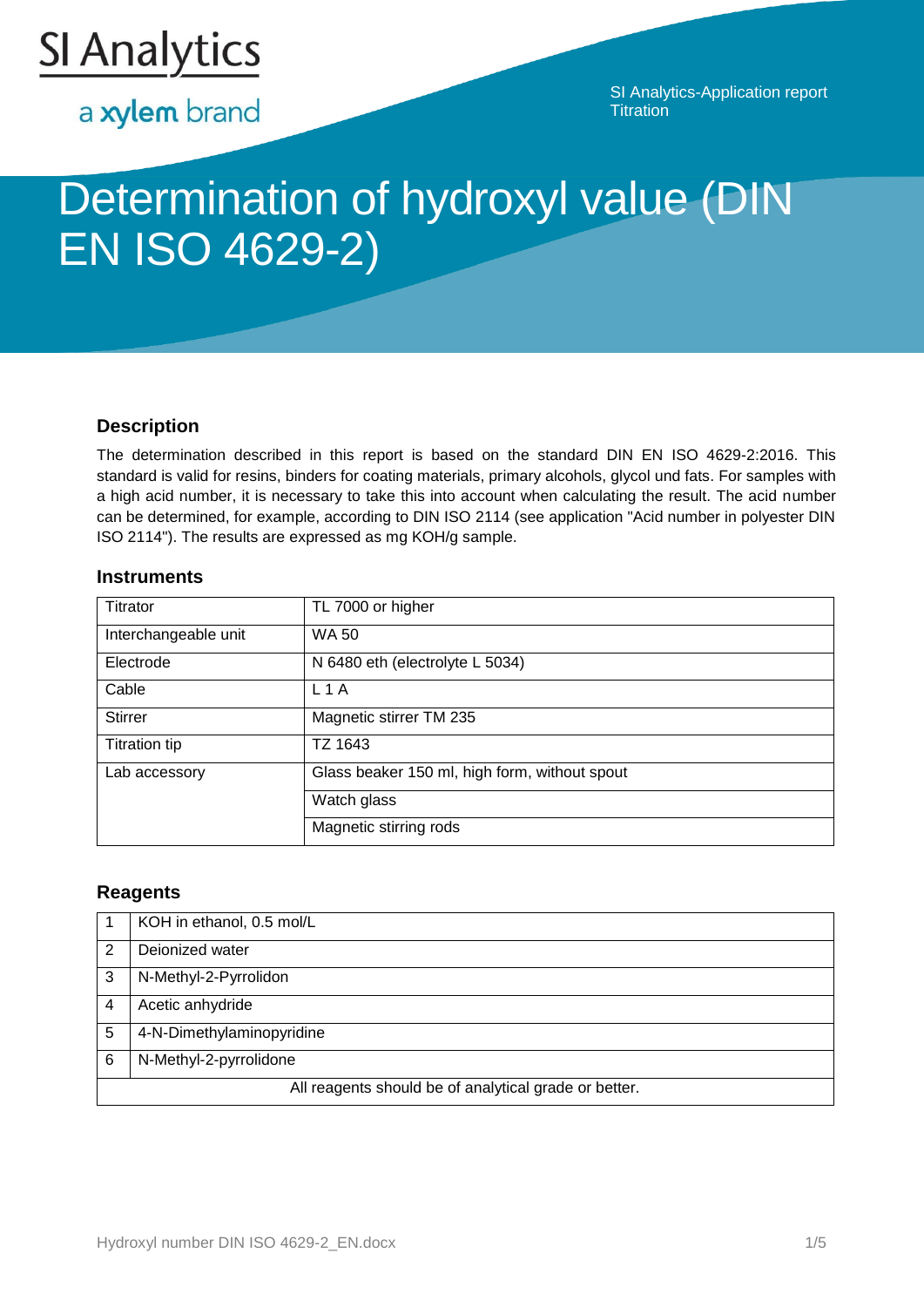

a xylem brand

SI Analytics-Application report **Titration** 

# Determination of hydroxyl value (DIN EN ISO 4629-2)

# **Description**

The determination described in this report is based on the standard DIN EN ISO 4629-2:2016. This standard is valid for resins, binders for coating materials, primary alcohols, glycol und fats. For samples with a high acid number, it is necessary to take this into account when calculating the result. The acid number can be determined, for example, according to DIN ISO 2114 (see application "Acid number in polyester DIN ISO 2114"). The results are expressed as mg KOH/g sample.

## **Instruments**

| Titrator             | TL 7000 or higher                             |
|----------------------|-----------------------------------------------|
| Interchangeable unit | <b>WA 50</b>                                  |
| Electrode            | N 6480 eth (electrolyte L 5034)               |
| Cable                | $L_1A$                                        |
| <b>Stirrer</b>       | Magnetic stirrer TM 235                       |
| <b>Titration tip</b> | TZ 1643                                       |
| Lab accessory        | Glass beaker 150 ml, high form, without spout |
|                      | Watch glass                                   |
|                      | Magnetic stirring rods                        |

## **Reagents**

|                                                       | KOH in ethanol, 0.5 mol/L |
|-------------------------------------------------------|---------------------------|
| 2                                                     | Dejonized water           |
| 3                                                     | N-Methyl-2-Pyrrolidon     |
|                                                       | Acetic anhydride          |
| 5                                                     | 4-N-Dimethylaminopyridine |
| 6                                                     | N-Methyl-2-pyrrolidone    |
| All reagents should be of analytical grade or better. |                           |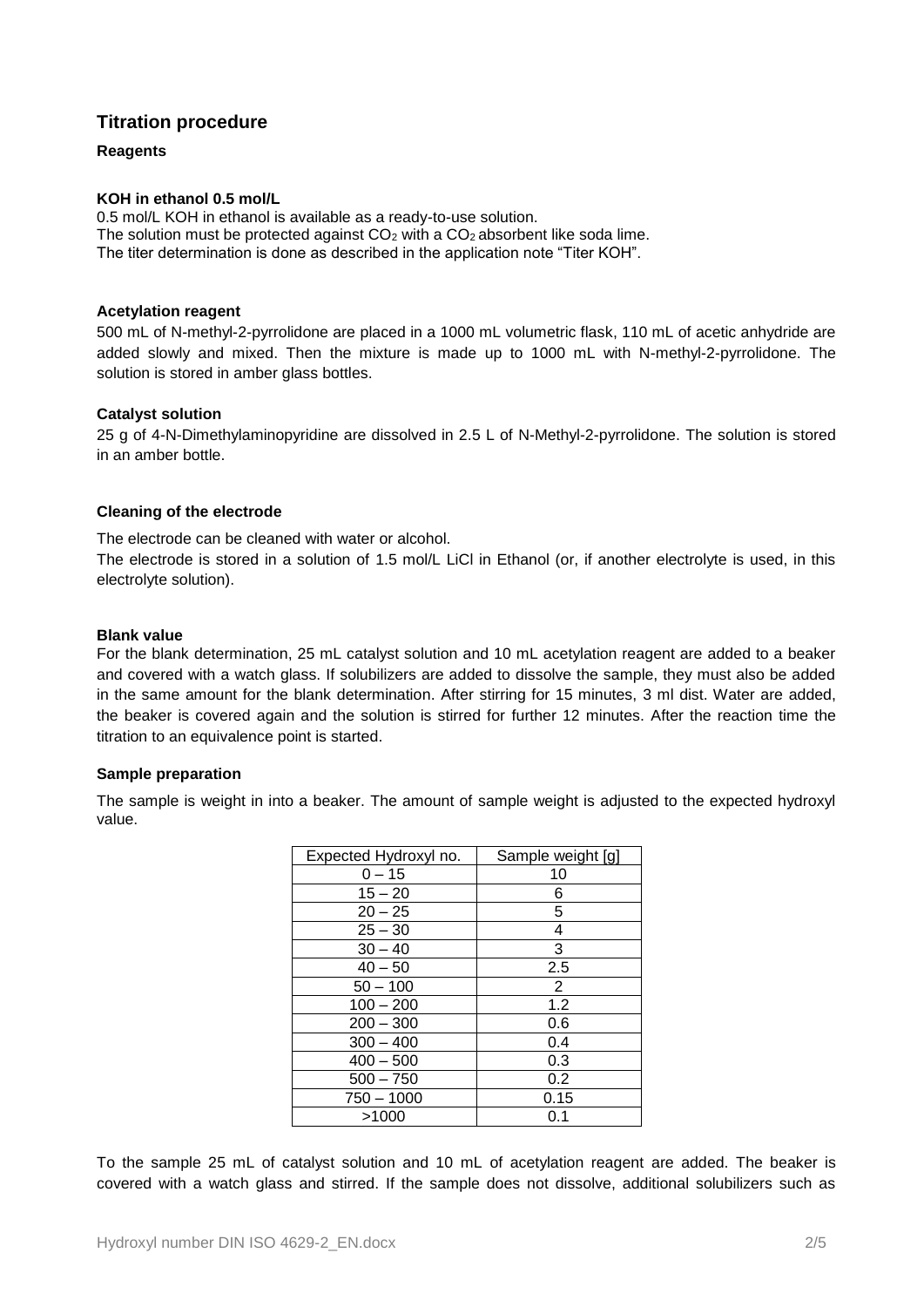## **Titration procedure**

#### **Reagents**

#### **KOH in ethanol 0.5 mol/L**

0.5 mol/L KOH in ethanol is available as a ready-to-use solution. The solution must be protected against  $CO<sub>2</sub>$  with a  $CO<sub>2</sub>$  absorbent like soda lime. The titer determination is done as described in the application note "Titer KOH".

#### **Acetylation reagent**

500 mL of N-methyl-2-pyrrolidone are placed in a 1000 mL volumetric flask, 110 mL of acetic anhydride are added slowly and mixed. Then the mixture is made up to 1000 mL with N-methyl-2-pyrrolidone. The solution is stored in amber glass bottles.

#### **Catalyst solution**

25 g of 4-N-Dimethylaminopyridine are dissolved in 2.5 L of N-Methyl-2-pyrrolidone. The solution is stored in an amber bottle.

#### **Cleaning of the electrode**

The electrode can be cleaned with water or alcohol.

The electrode is stored in a solution of 1.5 mol/L LiCl in Ethanol (or, if another electrolyte is used, in this electrolyte solution).

#### **Blank value**

For the blank determination, 25 mL catalyst solution and 10 mL acetylation reagent are added to a beaker and covered with a watch glass. If solubilizers are added to dissolve the sample, they must also be added in the same amount for the blank determination. After stirring for 15 minutes, 3 ml dist. Water are added, the beaker is covered again and the solution is stirred for further 12 minutes. After the reaction time the titration to an equivalence point is started.

#### **Sample preparation**

The sample is weight in into a beaker. The amount of sample weight is adjusted to the expected hydroxyl value.

| Expected Hydroxyl no. | Sample weight [g] |
|-----------------------|-------------------|
| $0 - 15$              | 10                |
| $15 - 20$             | 6                 |
| $20 - 25$             | 5                 |
| $25 - 30$             | 4                 |
| $30 - 40$             | 3                 |
| $40 - 50$             | 2.5               |
| $50 - 100$            | 2                 |
| $100 - 200$           | 1.2               |
| $200 - 300$           | 0.6               |
| $300 - 400$           | 0.4               |
| $400 - 500$           | 0.3               |
| $500 - 750$           | 0.2               |
| 750 - 1000            | 0.15              |
| >1000                 | 0.1               |

To the sample 25 mL of catalyst solution and 10 mL of acetylation reagent are added. The beaker is covered with a watch glass and stirred. If the sample does not dissolve, additional solubilizers such as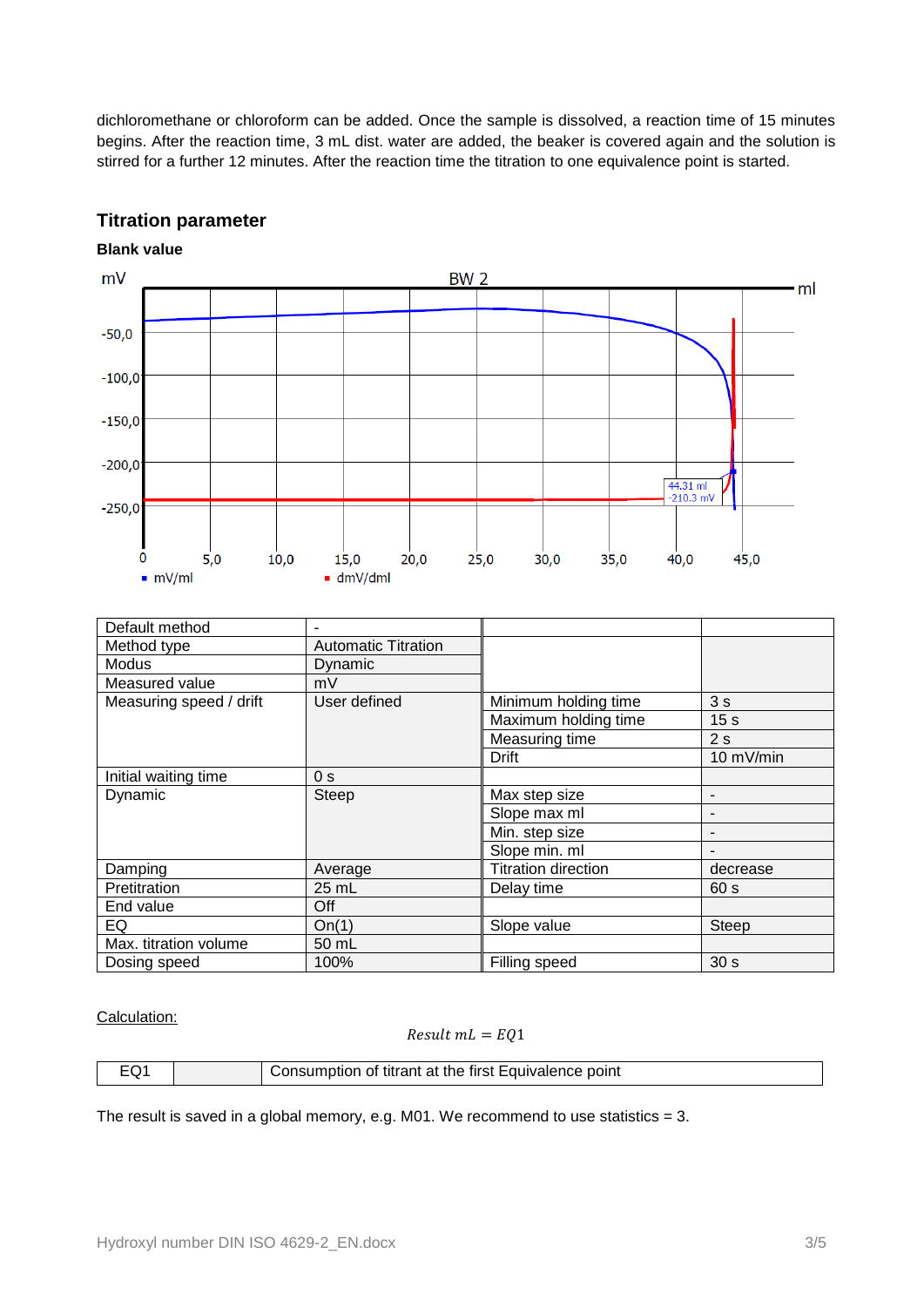dichloromethane or chloroform can be added. Once the sample is dissolved, a reaction time of 15 minutes begins. After the reaction time, 3 mL dist. water are added, the beaker is covered again and the solution is stirred for a further 12 minutes. After the reaction time the titration to one equivalence point is started.

# **Titration parameter**

## **Blank value**



| Default method          |                            |                      |                 |
|-------------------------|----------------------------|----------------------|-----------------|
| Method type             | <b>Automatic Titration</b> |                      |                 |
| Modus                   | Dynamic                    |                      |                 |
| Measured value          | mV                         |                      |                 |
| Measuring speed / drift | User defined               | Minimum holding time | 3s              |
|                         |                            | Maximum holding time | 15 <sub>s</sub> |
|                         |                            | Measuring time       | 2s              |
|                         |                            | Drift                | 10 mV/min       |
| Initial waiting time    | 0 <sub>s</sub>             |                      |                 |
| Dynamic                 | Steep                      | Max step size        |                 |
|                         |                            | Slope max ml         |                 |
|                         |                            | Min. step size       |                 |
|                         |                            | Slope min. ml        |                 |
| Damping                 | Average                    | Titration direction  | decrease        |
| Pretitration            | 25 mL                      | Delay time           | 60 s            |
| End value               | Off                        |                      |                 |
| EQ                      | On(1)                      | Slope value          | Steep           |
| Max. titration volume   | 50 mL                      |                      |                 |
| Dosing speed            | 100%                       | Filling speed        | 30 <sub>s</sub> |

#### Calculation:

#### $Result mL = EQ1$

| - 1 | Consumption of titrant at the first Equivalence point |
|-----|-------------------------------------------------------|

The result is saved in a global memory, e.g. M01. We recommend to use statistics  $= 3$ .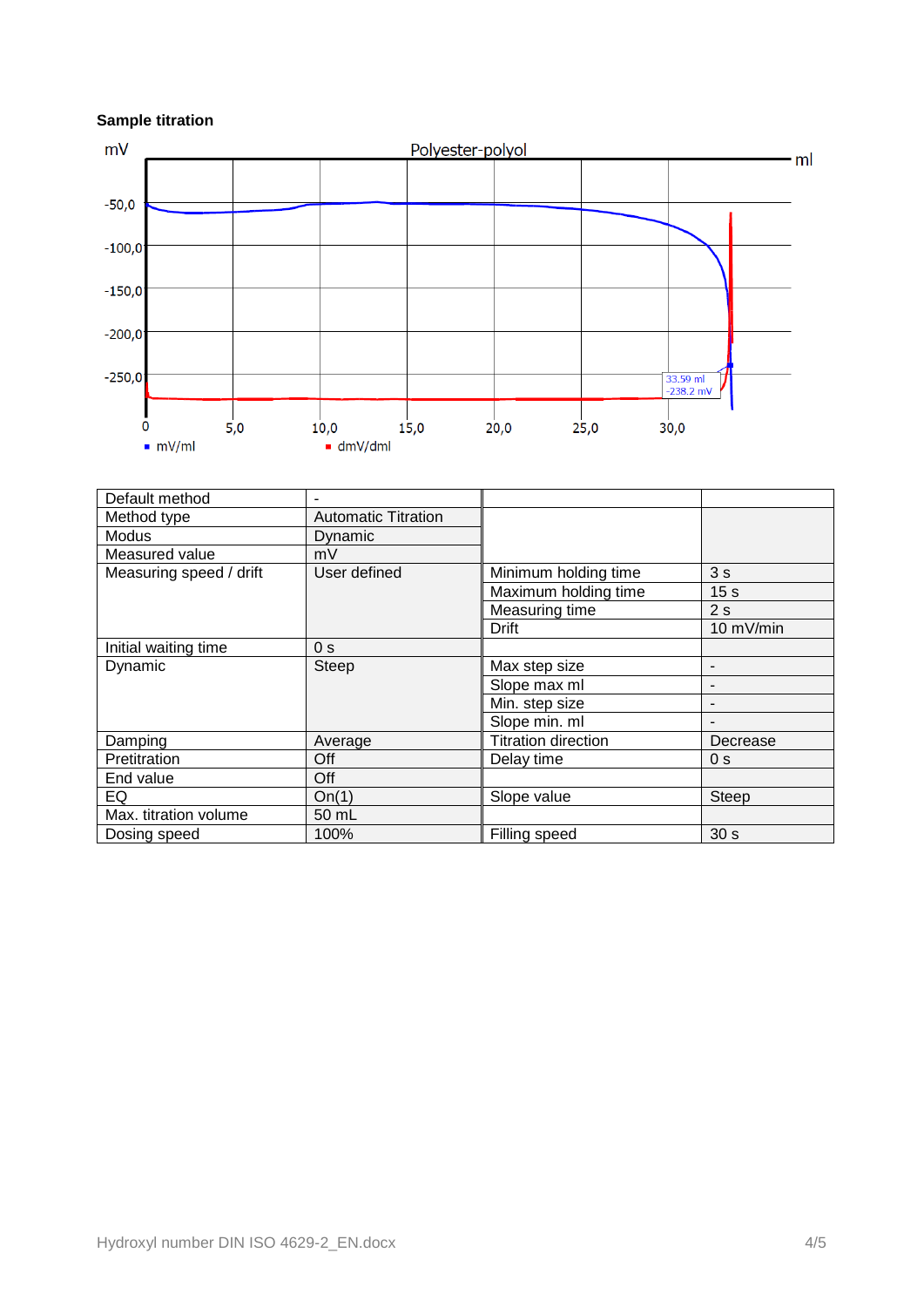## **Sample titration**



| Default method          |                            |                            |                 |
|-------------------------|----------------------------|----------------------------|-----------------|
| Method type             | <b>Automatic Titration</b> |                            |                 |
| Modus                   | Dynamic                    |                            |                 |
| Measured value          | mV                         |                            |                 |
| Measuring speed / drift | User defined               | Minimum holding time       | 3s              |
|                         |                            | Maximum holding time       | 15 <sub>s</sub> |
|                         |                            | Measuring time             | 2s              |
|                         |                            | <b>Drift</b>               | 10 mV/min       |
| Initial waiting time    | 0 <sub>s</sub>             |                            |                 |
| Dynamic                 | Steep                      | Max step size              | ٠               |
|                         |                            | Slope max ml               |                 |
|                         |                            | Min. step size             |                 |
|                         |                            | Slope min. ml              |                 |
| Damping                 | Average                    | <b>Titration direction</b> | Decrease        |
| Pretitration            | Off                        | Delay time                 | 0 <sub>s</sub>  |
| End value               | Off                        |                            |                 |
| EQ                      | On(1)                      | Slope value                | Steep           |
| Max. titration volume   | 50 mL                      |                            |                 |
| Dosing speed            | 100%                       | Filling speed              | 30 <sub>s</sub> |